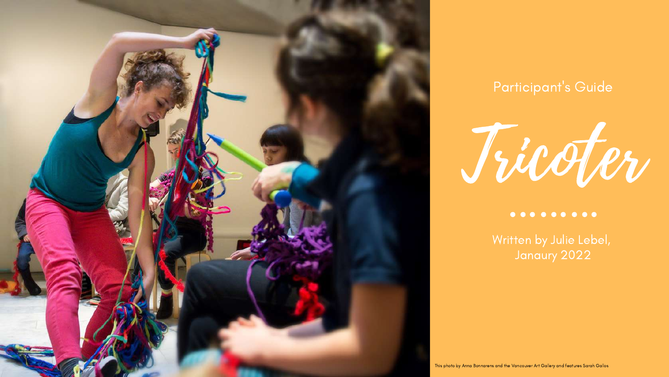

#### Participant' s Guide

Tricoter

#### $0 0 0 0 0 0 0 0 0 0$

Written by Julie Lebel, Janaury 2022

This photo by Anna Bonnarens and the Vancouver Art Gallery and features Sarah Gallos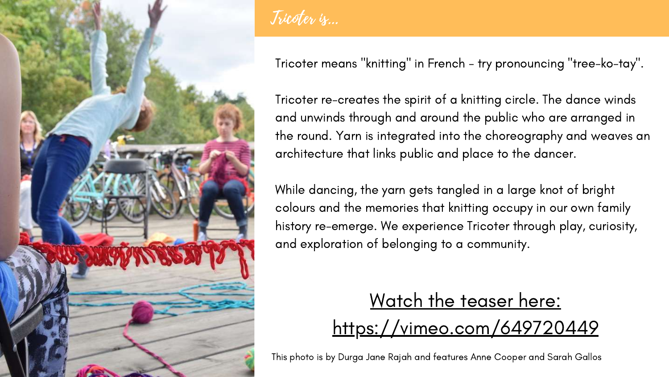

Tricoter is...

Tricoter means "knitting" in French - try pronouncing "tree-ko-tay".

Tricoter re-creates the spirit of a knitting circle. The dance winds and unwinds through and around the public who are arranged in the round. Yarn is integrated into the [choreography](https://vimeo.com/229487232) and weaves an architecture that links public and place to the dancer.

### Watch the teaser here: <https://vimeo.com/649720449>

While dancing, the yarn gets tangled in a large knot of bright colours and the memories that knitting occupy in our own family history re-emerge. We experience Tricoter through play, curiosity, and exploration of belonging to a community.

This photo is by Durga Jane Rajah and features Anne Cooper and Sarah Gallos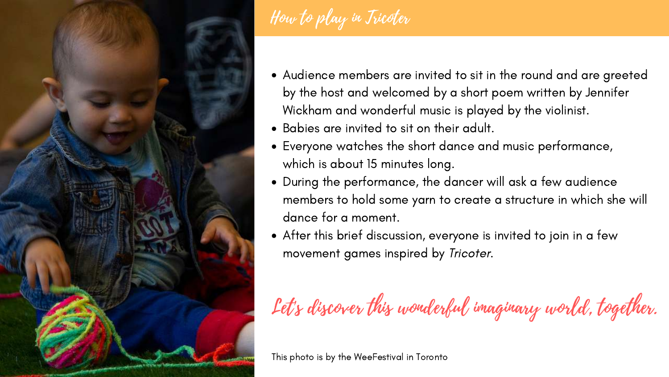

How to play in Tricoter

Audience members are invited to sit in the round and are greeted by the host and welcomed by a short poem written by Jennifer Wickham and wonderful music is played by the violinist.

Everyone watches the short dance and music performance,

During the performance, the dancer will ask a few audience

- 
- Babies are invited to sit on their adult.
- which is about 15 minutes long.
- dance for a moment.
- movement games inspired by Tricoter.

members to hold some yarn to create a structure in which she will

After this brief discussion, everyone is invited to join in a few

Let's discover this wonderful imaginary world, together.

This photo is by the WeeFestival in Toronto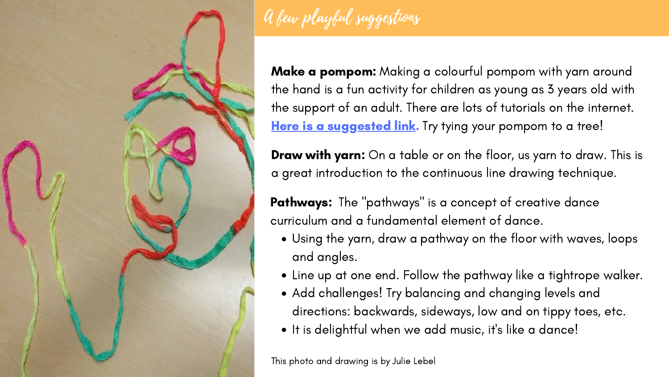

# A few playful suggestions

Make a pompom: Making a colourful pompom with yarn around the hand is a fun activity for children as young as 3 years old with the support of an adult. There are lots of tutorials on the internet. Here is a [suggested](https://www.youtube.com/watch?v=zFaE3aivc5w) link. Try tying your pompom to a tree!

**Draw with yarn:** On a table or on the floor, us yarn to draw. This is a great introduction to the continuous line drawing technique.

**Pathways:** The "pathways" is a concept of creative dance curriculum and a fundamental element of dance.

Using the yarn, draw a pathway on the floor with waves, loops

- and angles.
- 
- 
- 

Line up at one end. Follow the pathway like a tightrope walker. Add challenges! Try balancing and changing levels and directions: backwards, sideways, low and on tippy toes, etc. It is delightful when we add music, it' s like a dance!

This photo and drawing is by Julie Lebel

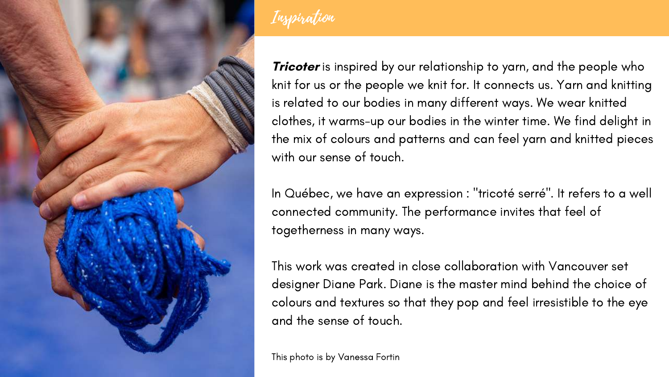

Inspiration

**Tricoter** is inspired by our relationship to yarn, and the people who knit for us or the people we knit for. It connects us. Yarn and knitting is related to our bodies in many different ways. We wear knitted clothes, it warms-up our bodies in the winter time. We find delight in the mix of colours and patterns and can feel yarn and knitted pieces with our sense of touch.

In Québec, we have an expression : "tricoté serré". It refers to a well connected community. The performance invites that feel of togetherness in many ways.

This work was created in close [collaboration](https://dancersgroup.org/2012/05/the-first-steps-luna-dance-institute/) with Vancouver set designer Diane Park. Diane is the master mind behind the choice of colours and textures so that they pop and feel irresistible to the eye and the sense of touch.

This photo is by Vanessa Fortin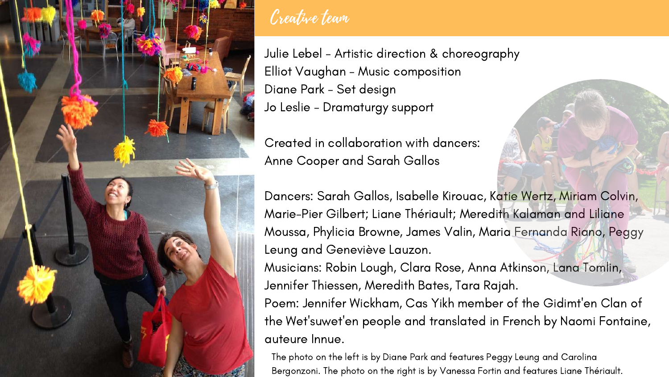

#### Creative team

Julie Lebel - Artistic direction & choreography Elliot Vaughan - Music composition Diane Park - Set design Jo Leslie - Dramaturgy support

Created in collaboration with dancers: Anne Cooper and Sarah Gallos

- 
- 
- 
- Dancers: Sarah Gallos, Isabelle Kirouac, Katie Wertz, Miriam Colvin, Marie-Pier Gilbert; Liane Thériault; Meredith Kalaman and Liliane Moussa, Phylicia Browne, James Valin, Maria Fernanda Riano, Peggy
- Musicians: Robin Lough, Clara Rose, Anna Atkinson, Lana Tomlin,
- Poem: Jennifer Wickham, Cas Yikh member of the Gidimt' en Clan of the Wet' suwet' en people and translated in French by Naomi Fontaine,

Leung and Geneviève Lauzon. Jennifer Thiessen, Meredith Bates, Tara Rajah. auteure Innue.

The photo on the left is by Diane Park and features Peggy Leung and Carolina Bergonzoni. The photo on the right is by Vanessa Fortin and features Liane Thériault.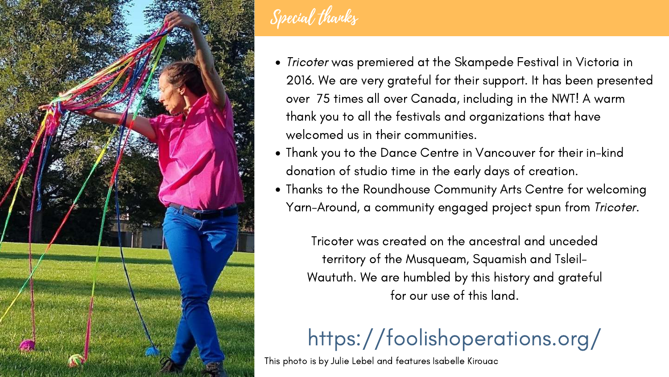

## Special thanks

Tricoter was premiered at the Skampede Festival in Victoria in 2016. We are very grateful for their support. It has been presented over 75 times all over Canada, including in the NWT! A warm thank you to all the festivals and organizations that have

- welcomed us in their communities.
- 
- 

Thank you to the Dance Centre in Vancouver for their in-kind donation of studio time in the early days of creation.

Thanks to the Roundhouse Community Arts Centre for welcoming Yarn-Around, a community engaged project spun from Tricoter.

# <https://foolishoperations.org/>

Tricoter was created on the ancestral and unceded territory of the Musqueam, Squamish and Tsleil-Waututh. We are humbled by this history and grateful for our use of this land.

This photo is by Julie Lebel and features Isabelle Kirouac